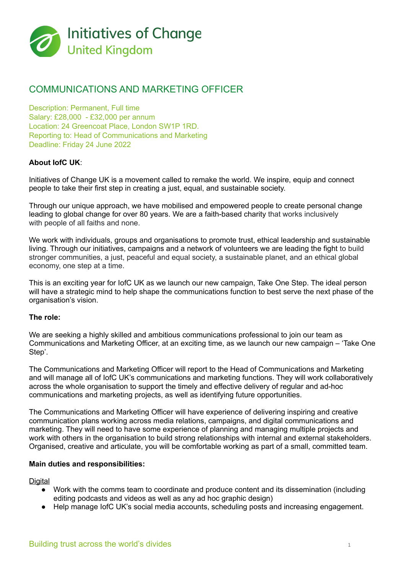

# COMMUNICATIONS AND MARKETING OFFICER

Description: Permanent, Full time Salary: £28,000 - £32,000 per annum Location: 24 Greencoat Place, London SW1P 1RD. Reporting to: Head of Communications and Marketing Deadline: Friday 24 June 2022

## **About IofC UK**:

Initiatives of Change UK is a movement called to remake the world. We inspire, equip and connect people to take their first step in creating a just, equal, and sustainable society.

Through our unique approach, we have mobilised and empowered people to create personal change leading to global change for over 80 years. We are a faith-based charity that works inclusively with people of all faiths and none.

We work with individuals, groups and organisations to promote trust, ethical leadership and sustainable living. Through our initiatives, campaigns and a network of volunteers we are leading the fight to build stronger communities, a just, peaceful and equal society, a sustainable planet, and an ethical global economy, one step at a time.

This is an exciting year for IofC UK as we launch our new campaign, Take One Step. The ideal person will have a strategic mind to help shape the communications function to best serve the next phase of the organisation's vision.

#### **The role:**

We are seeking a highly skilled and ambitious communications professional to join our team as Communications and Marketing Officer, at an exciting time, as we launch our new campaign – 'Take One Step'.

The Communications and Marketing Officer will report to the Head of Communications and Marketing and will manage all of IofC UK's communications and marketing functions. They will work collaboratively across the whole organisation to support the timely and effective delivery of regular and ad-hoc communications and marketing projects, as well as identifying future opportunities.

The Communications and Marketing Officer will have experience of delivering inspiring and creative communication plans working across media relations, campaigns, and digital communications and marketing. They will need to have some experience of planning and managing multiple projects and work with others in the organisation to build strong relationships with internal and external stakeholders. Organised, creative and articulate, you will be comfortable working as part of a small, committed team.

### **Main duties and responsibilities:**

**Digital** 

- Work with the comms team to coordinate and produce content and its dissemination (including editing podcasts and videos as well as any ad hoc graphic design)
- Help manage IofC UK's social media accounts, scheduling posts and increasing engagement.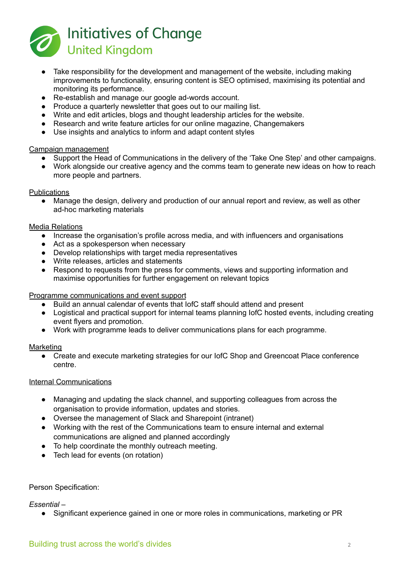

- Take responsibility for the development and management of the website, including making improvements to functionality, ensuring content is SEO optimised, maximising its potential and monitoring its performance.
- Re-establish and manage our google ad-words account.
- Produce a quarterly newsletter that goes out to our mailing list.
- Write and edit articles, blogs and thought leadership articles for the website.
- Research and write feature articles for our online magazine, Changemakers
- Use insights and analytics to inform and adapt content styles

### Campaign management

- Support the Head of Communications in the delivery of the 'Take One Step' and other campaigns.
- Work alongside our creative agency and the comms team to generate new ideas on how to reach more people and partners.

#### **Publications**

• Manage the design, delivery and production of our annual report and review, as well as other ad-hoc marketing materials

### Media Relations

- Increase the organisation's profile across media, and with influencers and organisations
- Act as a spokesperson when necessary
- Develop relationships with target media representatives
- Write releases, articles and statements
- Respond to requests from the press for comments, views and supporting information and maximise opportunities for further engagement on relevant topics

### Programme communications and event support

- Build an annual calendar of events that IofC staff should attend and present
- Logistical and practical support for internal teams planning IofC hosted events, including creating event flyers and promotion.
- Work with programme leads to deliver communications plans for each programme.

### Marketing

● Create and execute marketing strategies for our IofC Shop and Greencoat Place conference centre.

### Internal Communications

- Managing and updating the slack channel, and supporting colleagues from across the organisation to provide information, updates and stories.
- Oversee the management of Slack and Sharepoint (intranet)
- Working with the rest of the Communications team to ensure internal and external communications are aligned and planned accordingly
- To help coordinate the monthly outreach meeting.
- Tech lead for events (on rotation)

### Person Specification:

*Essential –*

● Significant experience gained in one or more roles in communications, marketing or PR